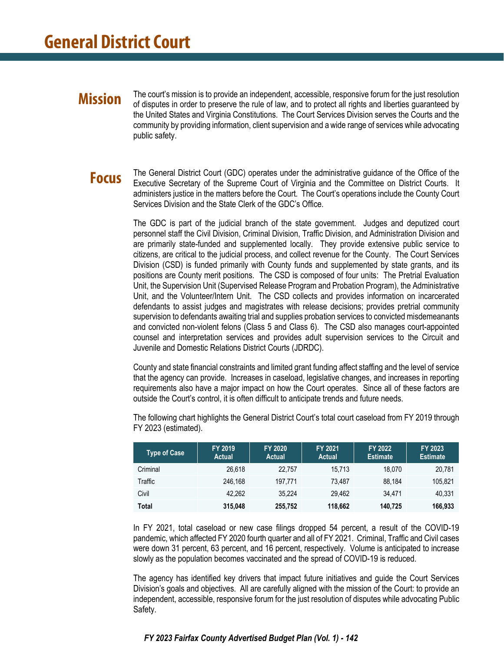### **Mission**

The court's mission is to provide an independent, accessible, responsive forum for the just resolution of disputes in order to preserve the rule of law, and to protect all rights and liberties guaranteed by the United States and Virginia Constitutions. The Court Services Division serves the Courts and the community by providing information, client supervision and a wide range of services while advocating public safety.

### **Focus**

The General District Court (GDC) operates under the administrative guidance of the Office of the Executive Secretary of the Supreme Court of Virginia and the Committee on District Courts. It administers justice in the matters before the Court. The Court's operations include the County Court Services Division and the State Clerk of the GDC's Office.

The GDC is part of the judicial branch of the state government. Judges and deputized court personnel staff the Civil Division, Criminal Division, Traffic Division, and Administration Division and are primarily state-funded and supplemented locally. They provide extensive public service to citizens, are critical to the judicial process, and collect revenue for the County. The Court Services Division (CSD) is funded primarily with County funds and supplemented by state grants, and its positions are County merit positions. The CSD is composed of four units: The Pretrial Evaluation Unit, the Supervision Unit (Supervised Release Program and Probation Program), the Administrative Unit, and the Volunteer/Intern Unit. The CSD collects and provides information on incarcerated defendants to assist judges and magistrates with release decisions; provides pretrial community supervision to defendants awaiting trial and supplies probation services to convicted misdemeanants and convicted non-violent felons (Class 5 and Class 6). The CSD also manages court-appointed counsel and interpretation services and provides adult supervision services to the Circuit and Juvenile and Domestic Relations District Courts (JDRDC).

County and state financial constraints and limited grant funding affect staffing and the level of service that the agency can provide. Increases in caseload, legislative changes, and increases in reporting requirements also have a major impact on how the Court operates. Since all of these factors are outside the Court's control, it is often difficult to anticipate trends and future needs.

| <b>Type of Case</b> | FY 2019<br><b>Actual</b> | FY 2020<br><b>Actual</b> | FY 2021<br><b>Actual</b> | FY 2022<br><b>Estimate</b> | FY 2023<br><b>Estimate</b> |
|---------------------|--------------------------|--------------------------|--------------------------|----------------------------|----------------------------|
| Criminal            | 26.618                   | 22.757                   | 15.713                   | 18.070                     | 20,781                     |
| Traffic             | 246.168                  | 197.771                  | 73.487                   | 88.184                     | 105.821                    |
| Civil               | 42.262                   | 35.224                   | 29.462                   | 34.471                     | 40.331                     |
| <b>Total</b>        | 315,048                  | 255,752                  | 118,662                  | 140.725                    | 166.933                    |

The following chart highlights the General District Court's total court caseload from FY 2019 through FY 2023 (estimated).

In FY 2021, total caseload or new case filings dropped 54 percent, a result of the COVID-19 pandemic, which affected FY 2020 fourth quarter and all of FY 2021. Criminal, Traffic and Civil cases were down 31 percent, 63 percent, and 16 percent, respectively. Volume is anticipated to increase slowly as the population becomes vaccinated and the spread of COVID-19 is reduced.

The agency has identified key drivers that impact future initiatives and guide the Court Services Division's goals and objectives. All are carefully aligned with the mission of the Court: to provide an independent, accessible, responsive forum for the just resolution of disputes while advocating Public Safety.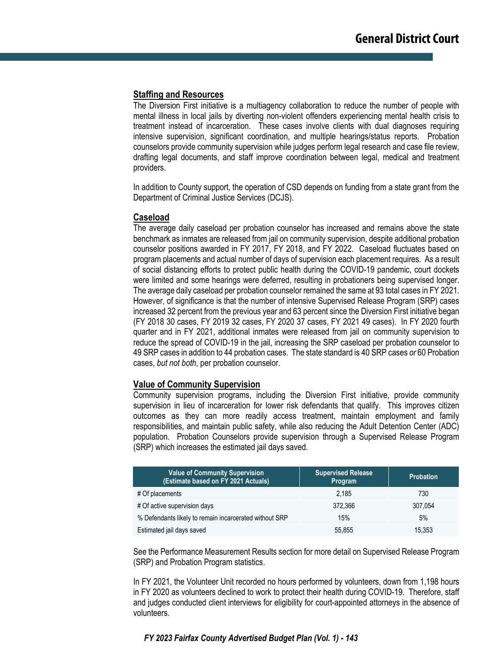#### **Staffing and Resources**

The Diversion First initiative is a multiagency collaboration to reduce the number of people with mental illness in local jails by diverting non-violent offenders experiencing mental health crisis to treatment instead of incarceration. These cases involve clients with dual diagnoses requiring intensive supervision, significant coordination, and multiple hearings/status reports. Probation counselors provide community supervision while judges perform legal research and case file review, drafting legal documents, and staff improve coordination between legal, medical and treatment providers.

In addition to County support, the operation of CSD depends on funding from a state grant from the Department of Criminal Justice Services (DCJS).

#### **Caseload**

The average daily caseload per probation counselor has increased and remains above the state benchmark as inmates are released from jail on community supervision, despite additional probation counselor positions awarded in FY 2017, FY 2018, and FY 2022. Caseload fluctuates based on program placements and actual number of days of supervision each placement requires. As a result of social distancing efforts to protect public health during the COVID-19 pandemic, court dockets were limited and some hearings were deferred, resulting in probationers being supervised longer. The average daily caseload per probation counselor remained the same at 93 total cases in FY 2021. However, of significance is that the number of intensive Supervised Release Program (SRP) cases increased 32 percent from the previous year and 63 percent since the Diversion First initiative began (FY 2018 30 cases, FY 2019 32 cases, FY 2020 37 cases, FY 2021 49 cases). In FY 2020 fourth quarter and in FY 2021, additional inmates were released from jail on community supervision to reduce the spread of COVID-19 in the jail, increasing the SRP caseload per probation counselor to 49 SRP cases in addition to 44 probation cases. The state standard is 40 SRP cases *or* 60 Probation cases, *but not both*, per probation counselor.

#### **Value of Community Supervision**

Community supervision programs, including the Diversion First initiative, provide community supervision in lieu of incarceration for lower risk defendants that qualify. This improves citizen outcomes as they can more readily access treatment, maintain employment and family responsibilities, and maintain public safety, while also reducing the Adult Detention Center (ADC) population. Probation Counselors provide supervision through a Supervised Release Program (SRP) which increases the estimated jail days saved.

| <b>Value of Community Supervision</b><br>(Estimate based on FY 2021 Actuals) | <b>Supervised Release</b><br>Program | <b>Probation</b> |
|------------------------------------------------------------------------------|--------------------------------------|------------------|
| # Of placements                                                              | 2.185                                | 730              |
| # Of active supervision days                                                 | 372.366                              | 307.054          |
| % Defendants likely to remain incarcerated without SRP                       | 15%                                  | 5%               |
| Estimated jail days saved                                                    | 55,855                               | 15,353           |

See the Performance Measurement Results section for more detail on Supervised Release Program (SRP) and Probation Program statistics.

In FY 2021, the Volunteer Unit recorded no hours performed by volunteers, down from 1,198 hours in FY 2020 as volunteers declined to work to protect their health during COVID-19. Therefore, staff and judges conducted client interviews for eligibility for court-appointed attorneys in the absence of volunteers.

#### *FY 2023 Fairfax County Advertised Budget Plan (Vol. 1) - 143*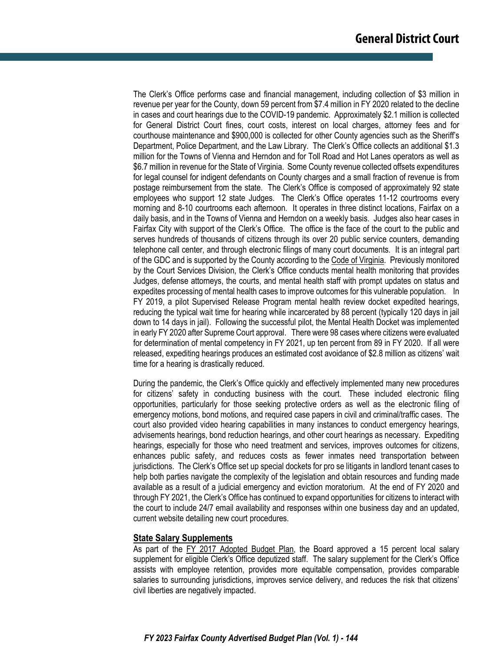The Clerk's Office performs case and financial management, including collection of \$3 million in revenue per year for the County, down 59 percent from \$7.4 million in FY 2020 related to the decline in cases and court hearings due to the COVID-19 pandemic. Approximately \$2.1 million is collected for General District Court fines, court costs, interest on local charges, attorney fees and for courthouse maintenance and \$900,000 is collected for other County agencies such as the Sheriff's Department, Police Department, and the Law Library. The Clerk's Office collects an additional \$1.3 million for the Towns of Vienna and Herndon and for Toll Road and Hot Lanes operators as well as \$6.7 million in revenue for the State of Virginia. Some County revenue collected offsets expenditures for legal counsel for indigent defendants on County charges and a small fraction of revenue is from postage reimbursement from the state. The Clerk's Office is composed of approximately 92 state employees who support 12 state Judges. The Clerk's Office operates 11-12 courtrooms every morning and 8-10 courtrooms each afternoon. It operates in three distinct locations, Fairfax on a daily basis, and in the Towns of Vienna and Herndon on a weekly basis. Judges also hear cases in Fairfax City with support of the Clerk's Office. The office is the face of the court to the public and serves hundreds of thousands of citizens through its over 20 public service counters, demanding telephone call center, and through electronic filings of many court documents. It is an integral part of the GDC and is supported by the County according to the Code of Virginia. Previously monitored by the Court Services Division, the Clerk's Office conducts mental health monitoring that provides Judges, defense attorneys, the courts, and mental health staff with prompt updates on status and expedites processing of mental health cases to improve outcomes for this vulnerable population. In FY 2019, a pilot Supervised Release Program mental health review docket expedited hearings, reducing the typical wait time for hearing while incarcerated by 88 percent (typically 120 days in jail down to 14 days in jail). Following the successful pilot, the Mental Health Docket was implemented in early FY 2020 after Supreme Court approval. There were 98 cases where citizens were evaluated for determination of mental competency in FY 2021, up ten percent from 89 in FY 2020. If all were released, expediting hearings produces an estimated cost avoidance of \$2.8 million as citizens' wait time for a hearing is drastically reduced.

During the pandemic, the Clerk's Office quickly and effectively implemented many new procedures for citizens' safety in conducting business with the court. These included electronic filing opportunities, particularly for those seeking protective orders as well as the electronic filing of emergency motions, bond motions, and required case papers in civil and criminal/traffic cases. The court also provided video hearing capabilities in many instances to conduct emergency hearings, advisements hearings, bond reduction hearings, and other court hearings as necessary. Expediting hearings, especially for those who need treatment and services, improves outcomes for citizens, enhances public safety, and reduces costs as fewer inmates need transportation between jurisdictions. The Clerk's Office set up special dockets for pro se litigants in landlord tenant cases to help both parties navigate the complexity of the legislation and obtain resources and funding made available as a result of a judicial emergency and eviction moratorium. At the end of FY 2020 and through FY 2021, the Clerk's Office has continued to expand opportunities for citizens to interact with the court to include 24/7 email availability and responses within one business day and an updated, current website detailing new court procedures.

#### **State Salary Supplements**

As part of the FY 2017 Adopted Budget Plan, the Board approved a 15 percent local salary supplement for eligible Clerk's Office deputized staff. The salary supplement for the Clerk's Office assists with employee retention, provides more equitable compensation, provides comparable salaries to surrounding jurisdictions, improves service delivery, and reduces the risk that citizens' civil liberties are negatively impacted.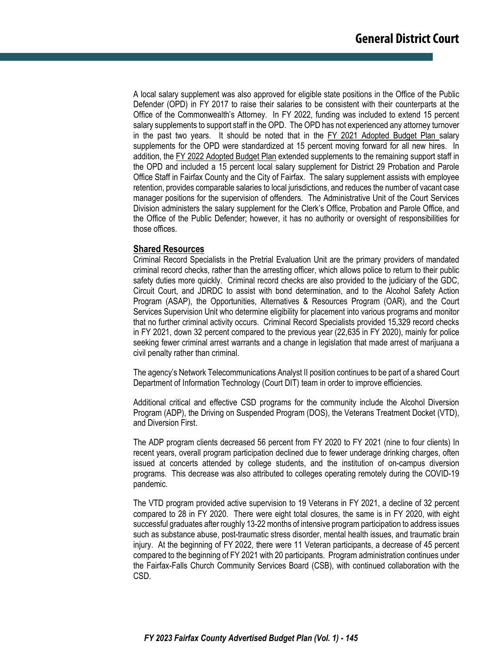A local salary supplement was also approved for eligible state positions in the Office of the Public Defender (OPD) in FY 2017 to raise their salaries to be consistent with their counterparts at the Office of the Commonwealth's Attorney. In FY 2022, funding was included to extend 15 percent salary supplements to support staff in the OPD. The OPD has not experienced any attorney turnover in the past two years. It should be noted that in the FY 2021 Adopted Budget Plan salary supplements for the OPD were standardized at 15 percent moving forward for all new hires. In addition, the FY 2022 Adopted Budget Plan extended supplements to the remaining support staff in the OPD and included a 15 percent local salary supplement for District 29 Probation and Parole Office Staff in Fairfax County and the City of Fairfax. The salary supplement assists with employee retention, provides comparable salaries to local jurisdictions, and reduces the number of vacant case manager positions for the supervision of offenders. The Administrative Unit of the Court Services Division administers the salary supplement for the Clerk's Office, Probation and Parole Office, and the Office of the Public Defender; however, it has no authority or oversight of responsibilities for those offices.

#### **Shared Resources**

Criminal Record Specialists in the Pretrial Evaluation Unit are the primary providers of mandated criminal record checks, rather than the arresting officer, which allows police to return to their public safety duties more quickly. Criminal record checks are also provided to the judiciary of the GDC, Circuit Court, and JDRDC to assist with bond determination, and to the Alcohol Safety Action Program (ASAP), the Opportunities, Alternatives & Resources Program (OAR), and the Court Services Supervision Unit who determine eligibility for placement into various programs and monitor that no further criminal activity occurs. Criminal Record Specialists provided 15,329 record checks in FY 2021, down 32 percent compared to the previous year (22,635 in FY 2020), mainly for police seeking fewer criminal arrest warrants and a change in legislation that made arrest of marijuana a civil penalty rather than criminal.

The agency's Network Telecommunications Analyst II position continues to be part of a shared Court Department of Information Technology (Court DIT) team in order to improve efficiencies.

Additional critical and effective CSD programs for the community include the Alcohol Diversion Program (ADP), the Driving on Suspended Program (DOS), the Veterans Treatment Docket (VTD), and Diversion First.

The ADP program clients decreased 56 percent from FY 2020 to FY 2021 (nine to four clients) In recent years, overall program participation declined due to fewer underage drinking charges, often issued at concerts attended by college students, and the institution of on-campus diversion programs. This decrease was also attributed to colleges operating remotely during the COVID-19 pandemic.

The VTD program provided active supervision to 19 Veterans in FY 2021, a decline of 32 percent compared to 28 in FY 2020. There were eight total closures, the same is in FY 2020, with eight successful graduates after roughly 13-22 months of intensive program participation to address issues such as substance abuse, post-traumatic stress disorder, mental health issues, and traumatic brain injury. At the beginning of FY 2022, there were 11 Veteran participants, a decrease of 45 percent compared to the beginning of FY 2021 with 20 participants. Program administration continues under the Fairfax-Falls Church Community Services Board (CSB), with continued collaboration with the CSD.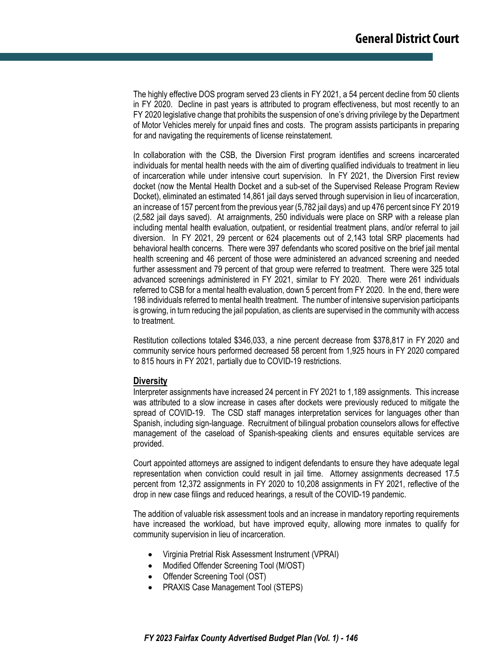The highly effective DOS program served 23 clients in FY 2021, a 54 percent decline from 50 clients in FY 2020. Decline in past years is attributed to program effectiveness, but most recently to an FY 2020 legislative change that prohibits the suspension of one's driving privilege by the Department of Motor Vehicles merely for unpaid fines and costs. The program assists participants in preparing for and navigating the requirements of license reinstatement.

In collaboration with the CSB, the Diversion First program identifies and screens incarcerated individuals for mental health needs with the aim of diverting qualified individuals to treatment in lieu of incarceration while under intensive court supervision. In FY 2021, the Diversion First review docket (now the Mental Health Docket and a sub-set of the Supervised Release Program Review Docket), eliminated an estimated 14,861 jail days served through supervision in lieu of incarceration, an increase of 157 percent from the previous year (5,782 jail days) and up 476 percent since FY 2019 (2,582 jail days saved). At arraignments, 250 individuals were place on SRP with a release plan including mental health evaluation, outpatient, or residential treatment plans, and/or referral to jail diversion. In FY 2021, 29 percent or 624 placements out of 2,143 total SRP placements had behavioral health concerns. There were 397 defendants who scored positive on the brief jail mental health screening and 46 percent of those were administered an advanced screening and needed further assessment and 79 percent of that group were referred to treatment. There were 325 total advanced screenings administered in FY 2021, similar to FY 2020. There were 261 individuals referred to CSB for a mental health evaluation, down 5 percent from FY 2020. In the end, there were 198 individuals referred to mental health treatment. The number of intensive supervision participants is growing, in turn reducing the jail population, as clients are supervised in the community with access to treatment.

Restitution collections totaled \$346,033, a nine percent decrease from \$378,817 in FY 2020 and community service hours performed decreased 58 percent from 1,925 hours in FY 2020 compared to 815 hours in FY 2021, partially due to COVID-19 restrictions.

#### **Diversity**

Interpreter assignments have increased 24 percent in FY 2021 to 1,189 assignments. This increase was attributed to a slow increase in cases after dockets were previously reduced to mitigate the spread of COVID-19. The CSD staff manages interpretation services for languages other than Spanish, including sign-language. Recruitment of bilingual probation counselors allows for effective management of the caseload of Spanish-speaking clients and ensures equitable services are provided.

Court appointed attorneys are assigned to indigent defendants to ensure they have adequate legal representation when conviction could result in jail time. Attorney assignments decreased 17.5 percent from 12,372 assignments in FY 2020 to 10,208 assignments in FY 2021, reflective of the drop in new case filings and reduced hearings, a result of the COVID-19 pandemic.

The addition of valuable risk assessment tools and an increase in mandatory reporting requirements have increased the workload, but have improved equity, allowing more inmates to qualify for community supervision in lieu of incarceration.

- Virginia Pretrial Risk Assessment Instrument (VPRAI)
- Modified Offender Screening Tool (M/OST)
- Offender Screening Tool (OST)
- PRAXIS Case Management Tool (STEPS)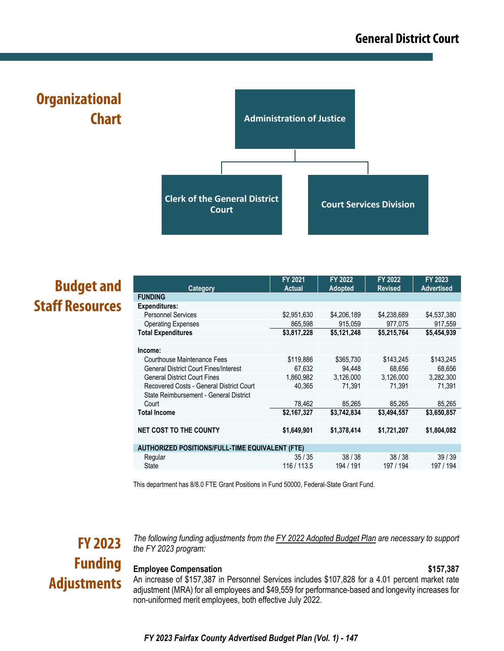**Administration of Justice Clerk of the General District Court Court Services Division Organizational Chart**

# **Budget and Staff Resources**

| Category                                               | FY 2021<br><b>Actual</b> | FY 2022<br><b>Adopted</b> | FY 2022<br><b>Revised</b> | FY 2023<br><b>Advertised</b> |
|--------------------------------------------------------|--------------------------|---------------------------|---------------------------|------------------------------|
| <b>FUNDING</b>                                         |                          |                           |                           |                              |
| <b>Expenditures:</b>                                   |                          |                           |                           |                              |
| <b>Personnel Services</b>                              | \$2,951,630              | \$4,206,189               | \$4,238,689               | \$4,537,380                  |
| <b>Operating Expenses</b>                              | 865,598                  | 915,059                   | 977,075                   | 917,559                      |
| <b>Total Expenditures</b>                              | \$3,817,228              | \$5,121,248               | \$5,215,764               | \$5,454,939                  |
|                                                        |                          |                           |                           |                              |
| Income:                                                |                          |                           |                           |                              |
| Courthouse Maintenance Fees                            | \$119,886                | \$365,730                 | \$143,245                 | \$143,245                    |
| <b>General District Court Fines/Interest</b>           | 67,632                   | 94,448                    | 68,656                    | 68,656                       |
| <b>General District Court Fines</b>                    | 1,860,982                | 3,126,000                 | 3,126,000                 | 3,282,300                    |
| Recovered Costs - General District Court               | 40,365                   | 71,391                    | 71,391                    | 71,391                       |
| State Reimbursement - General District                 |                          |                           |                           |                              |
| Court                                                  | 78,462                   | 85,265                    | 85,265                    | 85,265                       |
| <b>Total Income</b>                                    | \$2,167,327              | \$3,742,834               | \$3,494,557               | \$3,650,857                  |
|                                                        |                          |                           |                           |                              |
| <b>NET COST TO THE COUNTY</b>                          | \$1,649,901              | \$1,378,414               | \$1,721,207               | \$1,804,082                  |
|                                                        |                          |                           |                           |                              |
| <b>AUTHORIZED POSITIONS/FULL-TIME EQUIVALENT (FTE)</b> |                          |                           |                           |                              |
| Regular                                                | 35/35                    | 38/38                     | 38/38                     | 39/39                        |
| <b>State</b>                                           | 116 / 113.5              | 194 / 191                 | 197 / 194                 | 197 / 194                    |
|                                                        |                          |                           |                           |                              |

This department has 8/8.0 FTE Grant Positions in Fund 50000, Federal-State Grant Fund.

# **FY 2023 Funding Adjustments**

*The following funding adjustments from the FY 2022 Adopted Budget Plan are necessary to support the FY 2023 program:*

### **Employee Compensation \$157,387**

An increase of \$157,387 in Personnel Services includes \$107,828 for a 4.01 percent market rate adjustment (MRA) for all employees and \$49,559 for performance-based and longevity increases for non-uniformed merit employees, both effective July 2022.

*FY 2023 Fairfax County Advertised Budget Plan (Vol. 1) - 147*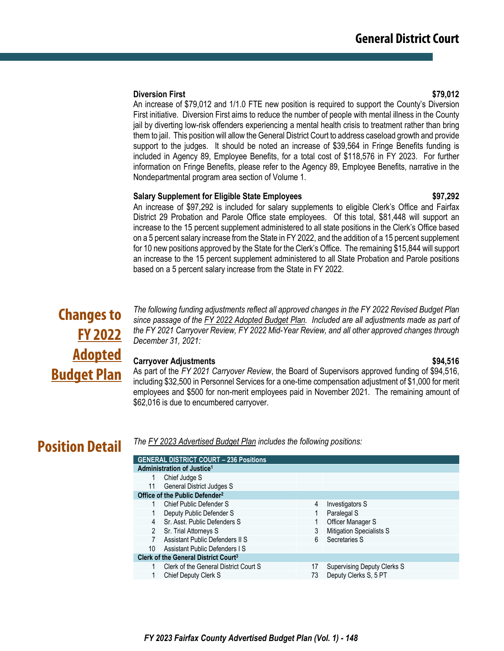#### **Diversion First \$79,012**

An increase of \$79,012 and 1/1.0 FTE new position is required to support the County's Diversion First initiative. Diversion First aims to reduce the number of people with mental illness in the County jail by diverting low-risk offenders experiencing a mental health crisis to treatment rather than bring them to jail. This position will allow the General District Court to address caseload growth and provide support to the judges. It should be noted an increase of \$39,564 in Fringe Benefits funding is included in Agency 89, Employee Benefits, for a total cost of \$118,576 in FY 2023. For further information on Fringe Benefits, please refer to the Agency 89, Employee Benefits, narrative in the Nondepartmental program area section of Volume 1.

#### **Salary Supplement for Eligible State Employees \$97,292**

### An increase of \$97,292 is included for salary supplements to eligible Clerk's Office and Fairfax District 29 Probation and Parole Office state employees. Of this total, \$81,448 will support an increase to the 15 percent supplement administered to all state positions in the Clerk's Office based on a 5 percent salary increase from the State in FY 2022, and the addition of a 15 percent supplement for 10 new positions approved by the State for the Clerk's Office. The remaining \$15,844 will support an increase to the 15 percent supplement administered to all State Probation and Parole positions based on a 5 percent salary increase from the State in FY 2022.

# **Changes to FY 2022 Adopted Budget Plan**

*The following funding adjustments reflect all approved changes in the FY 2022 Revised Budget Plan since passage of the FY 2022 Adopted Budget Plan. Included are all adjustments made as part of the FY 2021 Carryover Review, FY 2022 Mid-Year Review, and all other approved changes through December 31, 2021:*

#### **Carryover Adjustments \$94,516**

As part of the *FY 2021 Carryover Review*, the Board of Supervisors approved funding of \$94,516, including \$32,500 in Personnel Services for a one-time compensation adjustment of \$1,000 for merit employees and \$500 for non-merit employees paid in November 2021. The remaining amount of \$62,016 is due to encumbered carryover.

## **Position Detail**

*The FY 2023 Advertised Budget Plan includes the following positions:*

| Administration of Justice <sup>1</sup>           |                                               |                                 |
|--------------------------------------------------|-----------------------------------------------|---------------------------------|
| Chief Judge S                                    |                                               |                                 |
| <b>General District Judges S</b>                 |                                               |                                 |
| Office of the Public Defender <sup>2</sup>       |                                               |                                 |
| Chief Public Defender S                          | 4                                             | Investigators S                 |
| Deputy Public Defender S                         |                                               | Paralegal S                     |
| Sr. Asst. Public Defenders S<br>$\overline{4}$   |                                               | Officer Manager S               |
| Sr. Trial Attorneys S                            | 3                                             | <b>Mitigation Specialists S</b> |
| Assistant Public Defenders II S                  | 6                                             | Secretaries S                   |
| Assistant Public Defenders I S                   |                                               |                                 |
| Clerk of the General District Court <sup>3</sup> |                                               |                                 |
| Clerk of the General District Court S            | 17                                            | Supervising Deputy Clerks S     |
| <b>Chief Deputy Clerk S</b>                      | 73                                            | Deputy Clerks S, 5 PT           |
|                                                  | <b>GENERAL DISTRICT COURT - 236 Positions</b> |                                 |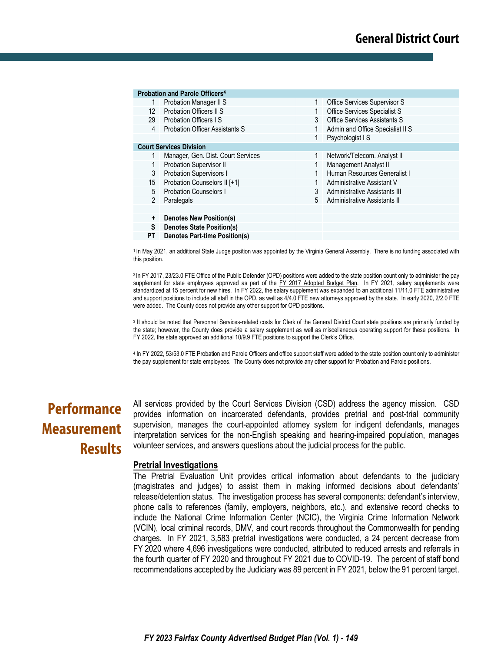|                      | Probation and Parole Officers <sup>4</sup> |   |                                  |
|----------------------|--------------------------------------------|---|----------------------------------|
|                      | Probation Manager II S                     | 1 | Office Services Supervisor S     |
| 12                   | Probation Officers II S                    |   | Office Services Specialist S     |
|                      | 29 Probation Officers IS                   | 3 | Office Services Assistants S     |
| $\overline{4}$       | <b>Probation Officer Assistants S</b>      |   | Admin and Office Specialist II S |
|                      |                                            |   | Psychologist I S                 |
|                      | <b>Court Services Division</b>             |   |                                  |
|                      | Manager, Gen. Dist. Court Services         |   | Network/Telecom. Analyst II      |
| 1                    | Probation Supervisor II                    |   | Management Analyst II            |
| 3                    | <b>Probation Supervisors I</b>             |   | Human Resources Generalist I     |
| 15                   | Probation Counselors II [+1]               |   | Administrative Assistant V       |
| 5                    | <b>Probation Counselors I</b>              | 3 | Administrative Assistants III    |
| 2                    | Paralegals                                 | 5 | Administrative Assistants II     |
|                      |                                            |   |                                  |
| $\ddot{\phantom{1}}$ | <b>Denotes New Position(s)</b>             |   |                                  |
| s                    | <b>Denotes State Position(s)</b>           |   |                                  |
| РT                   | <b>Denotes Part-time Position(s)</b>       |   |                                  |

1 In May 2021, an additional State Judge position was appointed by the Virginia General Assembly. There is no funding associated with this position.

2 In FY 2017, 23/23.0 FTE Office of the Public Defender (OPD) positions were added to the state position count only to administer the pay supplement for state employees approved as part of the FY 2017 Adopted Budget Plan. In FY 2021, salary supplements were standardized at 15 percent for new hires. In FY 2022, the salary supplement was expanded to an additional 11/11.0 FTE administrative and support positions to include all staff in the OPD, as well as 4/4.0 FTE new attorneys approved by the state. In early 2020, 2/2.0 FTE were added. The County does not provide any other support for OPD positions.

<sup>3</sup> It should be noted that Personnel Services-related costs for Clerk of the General District Court state positions are primarily funded by the state; however, the County does provide a salary supplement as well as miscellaneous operating support for these positions. In FY 2022, the state approved an additional 10/9.9 FTE positions to support the Clerk's Office.

4 In FY 2022, 53/53.0 FTE Probation and Parole Officers and office support staff were added to the state position count only to administer the pay supplement for state employees. The County does not provide any other support for Probation and Parole positions.

# **Performance Measurement Results**

All services provided by the Court Services Division (CSD) address the agency mission. CSD provides information on incarcerated defendants, provides pretrial and post-trial community supervision, manages the court-appointed attorney system for indigent defendants, manages interpretation services for the non-English speaking and hearing-impaired population, manages volunteer services, and answers questions about the judicial process for the public.

#### **Pretrial Investigations**

The Pretrial Evaluation Unit provides critical information about defendants to the judiciary (magistrates and judges) to assist them in making informed decisions about defendants' release/detention status. The investigation process has several components: defendant's interview, phone calls to references (family, employers, neighbors, etc.), and extensive record checks to include the National Crime Information Center (NCIC), the Virginia Crime Information Network (VCIN), local criminal records, DMV, and court records throughout the Commonwealth for pending charges. In FY 2021, 3,583 pretrial investigations were conducted, a 24 percent decrease from FY 2020 where 4,696 investigations were conducted, attributed to reduced arrests and referrals in the fourth quarter of FY 2020 and throughout FY 2021 due to COVID-19. The percent of staff bond recommendations accepted by the Judiciary was 89 percent in FY 2021, below the 91 percent target.